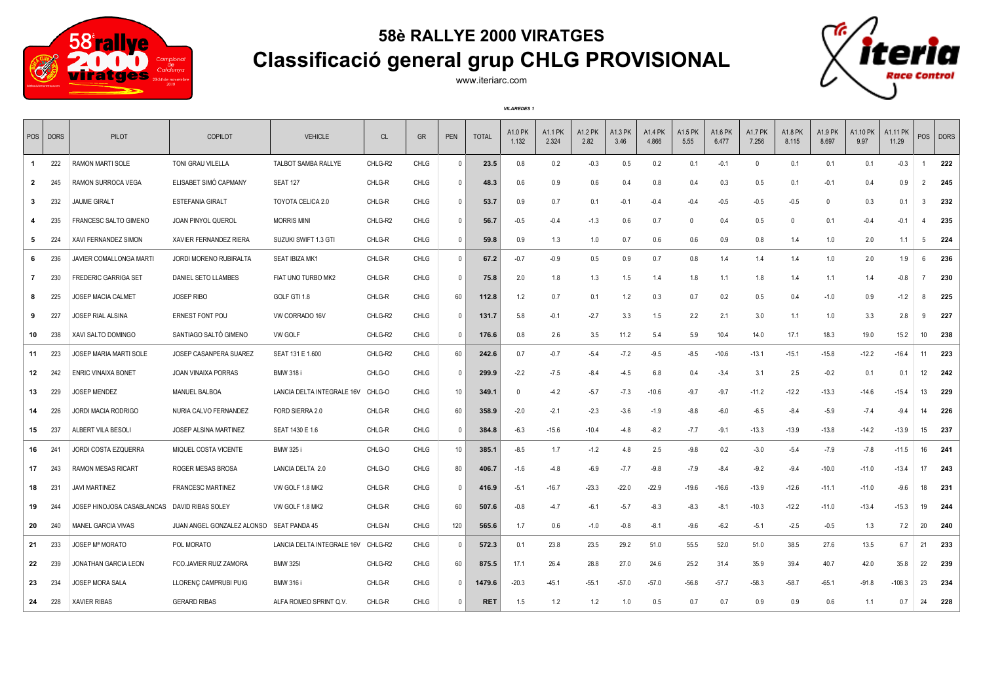

## **58è RALLYE 2000 VIRATGES Classificació general grup CHLG PROVISIONAL**



www.iteriarc.com

*VILAREDES 1*

|              | POS   DORS      | PILOT                                        | COPILOT                                  | <b>VEHICLE</b>             | CL      | <b>GR</b>   | PEN          | <b>TOTAL</b> | A1.0 PK<br>1.132 | A1.1 PK<br>2.324 | A1.2 PK<br>2.82 | <b>A1.3 PK</b><br>3.46 | A1.4 PK<br>4.866 | A1.5 PK<br>5.55 | A1.6 PK<br>6.477 | <b>A1.7 PK</b><br>7.256 | A1.8 PK<br>8.115 | A1.9 PK<br>8.697 | A1.10 PK<br>9.97 | A1.11 PK<br>11.29 | POS            | <b>DORS</b> |
|--------------|-----------------|----------------------------------------------|------------------------------------------|----------------------------|---------|-------------|--------------|--------------|------------------|------------------|-----------------|------------------------|------------------|-----------------|------------------|-------------------------|------------------|------------------|------------------|-------------------|----------------|-------------|
| $\mathbf{1}$ | 222             | RAMON MARTI SOLE                             | TONI GRAU VILELLA                        | TALBOT SAMBA RALLYE        | CHLG-R2 | <b>CHLG</b> | $\Omega$     | 23.5         | 0.8              | 0.2              | $-0.3$          | 0.5                    | 0.2              | 0.1             | $-0.1$           | $\mathbf{0}$            | 0.1              | 0.1              | 0.1              | $-0.3$            |                | 222         |
| $\mathbf{2}$ | 245             | RAMON SURROCA VEGA                           | ELISABET SIMÓ CAPMANY                    | <b>SEAT 127</b>            | CHLG-R  | <b>CHLG</b> | $\mathsf{O}$ | 48.3         | 0.6              | 0.9              | 0.6             | 0.4                    | 0.8              | 0.4             | 0.3              | 0.5                     | 0.1              | $-0.1$           | 0.4              | 0.9               | $\overline{2}$ | 245         |
| $\mathbf{3}$ | 232             | <b>JAUME GIRALT</b>                          | <b>ESTEFANIA GIRALT</b>                  | TOYOTA CELICA 2.0          | CHLG-R  | CHLG        | $\mathbf{0}$ | 53.7         | 0.9              | 0.7              | 0.1             | $-0.1$                 | $-0.4$           | $-0.4$          | $-0.5$           | $-0.5$                  | $-0.5$           | $\mathbf 0$      | 0.3              | 0.1               | 3              | 232         |
|              | 235             | <b>FRANCESC SALTO GIMENO</b>                 | <b>JOAN PINYOL QUEROL</b>                | <b>MORRIS MINI</b>         | CHLG-R2 | <b>CHLG</b> | $\Omega$     | 56.7         | $-0.5$           | $-0.4$           | $-1.3$          | 0.6                    | 0.7              | $\Omega$        | 0.4              | 0.5                     | $\Omega$         | 0.1              | $-0.4$           | $-0.1$            |                | 235         |
| 5            | 224             | XAVI FERNANDEZ SIMON                         | XAVIER FERNANDEZ RIERA                   | SUZUKI SWIFT 1.3 GTI       | CHLG-R  | CHLG        | 0            | 59.8         | 0.9              | 1.3              | 1.0             | 0.7                    | 0.6              | 0.6             | 0.9              | 0.8                     | 1.4              | 1.0              | 2.0              | 1.1               | 5              | 224         |
| 6            | 236             | <b>JAVIER COMALLONGA MARTI</b>               | JORDI MORENO RUBIRALTA                   | <b>SEAT IBIZA MK1</b>      | CHLG-R  | <b>CHLG</b> | $\mathbf{0}$ | 67.2         | $-0.7$           | $-0.9$           | 0.5             | 0.9                    | 0.7              | 0.8             | 1.4              | 1.4                     | 1.4              | 1.0              | 2.0              | 1.9               | 6              | 236         |
| $\mathbf{7}$ | 230             | <b>FREDERIC GARRIGA SET</b>                  | DANIEL SETO LLAMBES                      | FIAT UNO TURBO MK2         | CHLG-R  | <b>CHLG</b> | $\mathbf{0}$ | 75.8         | 2.0              | 1.8              | 1.3             | 1.5                    | 1.4              | 1.8             | 1.1              | 1.8                     | 1.4              | 1.1              | 1.4              | $-0.8$            |                | 230         |
| 8            | 225             | <b>JOSEP MACIA CALMET</b>                    | <b>JOSEP RIBO</b>                        | GOLF GTI 1.8               | CHLG-R  | <b>CHLG</b> | 60           | 112.8        | 1.2              | 0.7              | 0.1             | 1.2                    | 0.3              | 0.7             | 0.2              | 0.5                     | 0.4              | $-1.0$           | 0.9              | $-1.2$            | 8              | 225         |
| 9            | 227             | JOSEP RIAL ALSINA                            | <b>ERNEST FONT POU</b>                   | VW CORRADO 16V             | CHLG-R2 | <b>CHLG</b> | $\mathbf{0}$ | 131.7        | 5.8              | $-0.1$           | $-2.7$          | 3.3                    | 1.5              | 2.2             | 2.1              | 3.0                     | 1.1              | 1.0              | 3.3              | 2.8               | 9              | 227         |
| 10           | 238             | XAVI SALTO DOMINGO                           | SANTIAGO SALTÓ GIMENO                    | VW GOLF                    | CHLG-R2 | <b>CHLG</b> | 0            | 176.6        | 0.8              | 2.6              | 3.5             | 11.2                   | 5.4              | 5.9             | 10.4             | 14.0                    | 17.1             | 18.3             | 19.0             | 15.2              | 10             | 238         |
| 11           | 223             | <b>JOSEP MARIA MARTI SOLE</b>                | JOSEP CASANPERA SUAREZ                   | SEAT 131 E 1.600           | CHLG-R2 | <b>CHLG</b> | 60           | 242.6        | 0.7              | $-0.7$           | $-5.4$          | $-7.2$                 | $-9.5$           | $-8.5$          | $-10.6$          | $-13.1$                 | $-15.1$          | $-15.8$          | $-12.2$          | $-16.4$           | 11             | 223         |
| 12           | 242             | <b>ENRIC VINAIXA BONET</b>                   | <b>JOAN VINAIXA PORRAS</b>               | <b>BMW 318 i</b>           | CHLG-O  | <b>CHLG</b> | $\Omega$     | 299.9        | $-2.2$           | $-7.5$           | -8.4            | $-4.5$                 | 6.8              | 0.4             | $-3.4$           | 3.1                     | 2.5              | $-0.2$           | 0.1              | 0.1               | 12             | 242         |
| 13           | 229             | <b>JOSEP MENDEZ</b>                          | <b>MANUEL BALBOA</b>                     | LANCIA DELTA INTEGRALE 16V | CHLG-O  | <b>CHLG</b> | 10           | 349.1        | $\overline{0}$   | $-4.2$           | $-5.7$          | $-7.3$                 | $-10.6$          | $-9.7$          | $-9.7$           | $-11.2$                 | $-12.2$          | $-13.3$          | $-14.6$          | -15.4             | 13             | 229         |
| 14           | 226             | <b>JORDI MACIA RODRIGO</b>                   | NURIA CALVO FERNANDEZ                    | FORD SIERRA 2.0            | CHLG-R  | CHLG        | 60           | 358.9        | $-2.0$           | $-2.1$           | $-2.3$          | $-3.6$                 | $-1.9$           | $-8.8$          | $-6.0$           | $-6.5$                  | $-8.4$           | $-5.9$           | $-7.4$           | $-9.4$            | 14             | 226         |
| 15           | 237             | ALBERT VILA BESOLI                           | JOSEP ALSINA MARTINEZ                    | SEAT 1430 E 1.6            | CHLG-R  | <b>CHLG</b> | $\Omega$     | 384.8        | $-6.3$           | $-15.6$          | $-10.4$         | $-4.8$                 | $-8.2$           | $-7.7$          | $-9.1$           | $-13.3$                 | $-13.9$          | $-13.8$          | $-14.2$          | $-13.9$           | 15             | 237         |
| 16           | 24              | <b>JORDI COSTA EZQUERRA</b>                  | MIQUEL COSTA VICENTE                     | <b>BMW 325 i</b>           | CHLG-O  | <b>CHLG</b> | 10           | 385.1        | $-8.5$           | 1.7              | $-1.2$          | 4.8                    | 2.5              | $-9.8$          | 0.2              | $-3.0$                  | $-5.4$           | $-7.9$           | $-7.8$           | $-11.5$           | 16             | 241         |
| 17           | 243             | <b>RAMON MESAS RICART</b>                    | ROGER MESAS BROSA                        | LANCIA DELTA 2.0           | CHLG-O  | <b>CHLG</b> | 80           | 406.7        | $-1.6$           | $-4.8$           | $-6.9$          | $-7.7$                 | $-9.8$           | $-7.9$          | $-8.4$           | $-9.2$                  | $-9.4$           | $-10.0$          | $-11.0$          | $-13.4$           | 17             | 243         |
| 18           | 23 <sup>1</sup> | <b>JAVI MARTINEZ</b>                         | <b>FRANCESC MARTINEZ</b>                 | VW GOLF 1.8 MK2            | CHLG-R  | CHLG        | $\mathbf{0}$ | 416.9        | $-5.1$           | $-16.7$          | $-23.3$         | $-22.0$                | $-22.9$          | $-19.6$         | $-16.6$          | -13.9                   | $-12.6$          | $-11.1$          | $-11.0$          | $-9.6$            | 18             | 231         |
| 19           | 244             | JOSEP HINOJOSA CASABLANCAS DAVID RIBAS SOLEY |                                          | VW GOLF 1.8 MK2            | CHLG-R  | <b>CHLG</b> | 60           | 507.6        | $-0.8$           | $-4.7$           | $-6.1$          | $-5.7$                 | $-8.3$           | $-8.3$          | $-8.1$           | $-10.3$                 | $-12.2$          | $-11.0$          | $-13.4$          | $-15.3$           | 19             | 244         |
| 20           | 240             | MANEL GARCIA VIVAS                           | JUAN ANGEL GONZALEZ ALONSO SEAT PANDA 45 |                            | CHLG-N  | CHLG        | 120          | 565.6        | 1.7              | 0.6              | $-1.0$          | $-0.8$                 | $-8.1$           | $-9.6$          | $-6.2$           | $-5.1$                  | $-2.5$           | $-0.5$           | 1.3              | 7.2               | 20             | 240         |
| 21           | 233             | <b>JOSEP Mª MORATO</b>                       | POL MORATO                               | LANCIA DELTA INTEGRALE 16V | CHLG-R2 | <b>CHLG</b> | 0            | 572.3        | 0.1              | 23.8             | 23.5            | 29.2                   | 51.0             | 55.5            | 52.0             | 51.0                    | 38.5             | 27.6             | 13.5             | 6.7               | 21             | 233         |
| 22           | 239             | <b>JONATHAN GARCIA LEON</b>                  | FCO.JAVIER RUIZ ZAMORA                   | <b>BMW 325I</b>            | CHLG-R2 | <b>CHLG</b> | 60           | 875.5        | 17.1             | 26.4             | 28.8            | 27.0                   | 24.6             | 25.2            | 31.4             | 35.9                    | 39.4             | 40.7             | 42.0             | 35.8              | 22             | 239         |
| 23           | 234             | <b>JOSEP MORA SALA</b>                       | LLORENC CAMPRUBI PUIG                    | <b>BMW 316 i</b>           | CHLG-R  | <b>CHLG</b> | $\mathsf{O}$ | 1479.6       | $-20.3$          | $-45.1$          | $-55.1$         | $-57.0$                | $-57.0$          | $-56.8$         | $-57.7$          | $-58.3$                 | $-58.7$          | $-65.1$          | $-91.8$          | $-108.3$          | 23             | 234         |
| 24           | 228             | <b>XAVIER RIBAS</b>                          | <b>GERARD RIBAS</b>                      | ALFA ROMEO SPRINT Q.V.     | CHLG-R  | <b>CHLG</b> | $\mathbf{0}$ | <b>RET</b>   | 1.5              | 1.2              | 1.2             | 1.0                    | 0.5              | 0.7             | 0.7              | 0.9                     | 0.9              | 0.6              | 1.1              | 0.7               | 24             | 228         |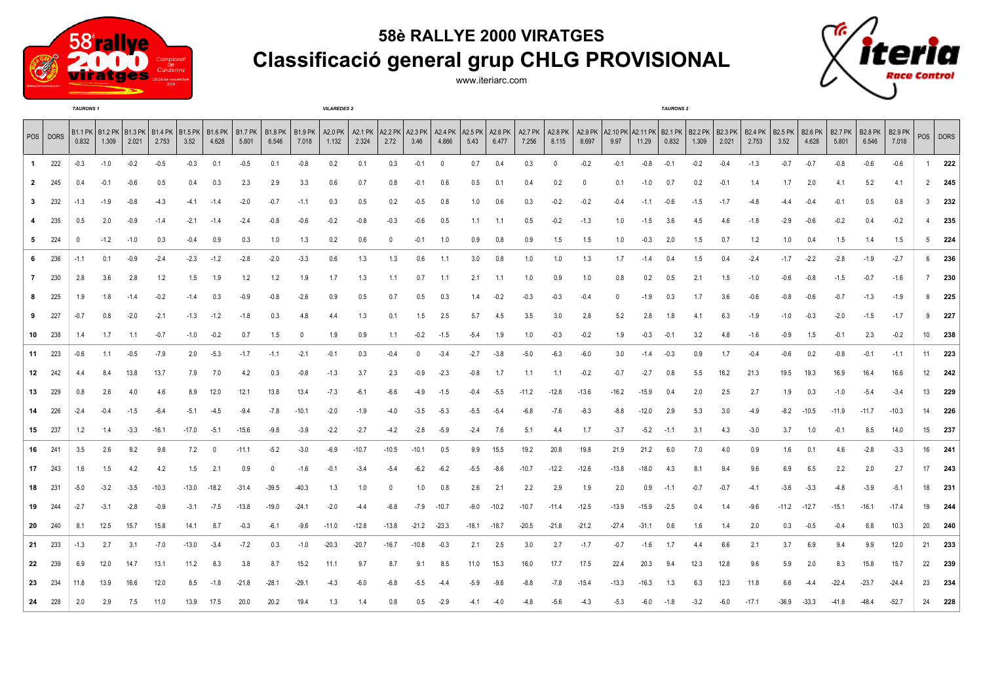

## **58è RALLYE 2000 VIRATGES Classificació general grup CHLG PROVISIONAL**

www.iteriarc.com



|                |          | <b>TAURONS1</b> |        |                                                                    |         |         |          |                  |                            |         | <b>VILAREDES 2</b> |                            |                           |              |          |                             |                  |                         |              |                            |         |         | <b>TAURONS 2</b>                                           |        |        |                         |                        |                                  |                         |                         |                         |              |          |
|----------------|----------|-----------------|--------|--------------------------------------------------------------------|---------|---------|----------|------------------|----------------------------|---------|--------------------|----------------------------|---------------------------|--------------|----------|-----------------------------|------------------|-------------------------|--------------|----------------------------|---------|---------|------------------------------------------------------------|--------|--------|-------------------------|------------------------|----------------------------------|-------------------------|-------------------------|-------------------------|--------------|----------|
|                | POS DORS | 0.832           | 1.309  | B1.1 PK   B1.2 PK   B1.3 PK   B1.4 PK   B1.5 PK   B1.6 PK<br>2.021 | 2.753   | 3.52    | 4.628    | B1.7 PK<br>5.801 | B1.8 PK   B1.9 PK<br>6.546 | 7.018   | 1.132              | A2.0 PK   A2.1 PK<br>2.324 | A2.2 PK   A2.3 PK<br>2.72 | 3.46         | 4.866    | A2.4 PK   A2.5 PK  <br>5.43 | A2.6 PK<br>6.477 | <b>A2.7 PK</b><br>7.256 | 8.115        | A2.8 PK   A2.9 PK<br>8.697 | 9.97    | 11.29   | A2.10 PK   A2.11 PK   B2.1 PK   B2.2 PK   B2.3 PK<br>0.832 | 1.309  | 2.021  | <b>B2.4 PK</b><br>2.753 | <b>B2.5 PK</b><br>3.52 | $ $ B <sub>2.6</sub> PK<br>4.628 | <b>B2.7 PK</b><br>5.801 | <b>B2.8 PK</b><br>6.546 | <b>B2.9 PK</b><br>7.018 |              | POS DORS |
| $\mathbf{1}$   | 222      | $-0.3$          | $-1.0$ | $-0.2$                                                             | $-0.5$  | $-0.3$  | 0.1      | $-0.5$           | 0.1                        | $-0.8$  | 0.2                | 0.1                        | 0.3                       | $-0.1$       | $\Omega$ | 0.7                         | 0.4              | 0.3                     | $\mathbf{0}$ | $-0.2$                     | $-0.1$  | $-0.8$  | $-0.1$                                                     | $-0.2$ | $-0.4$ | $-1.3$                  | $-0.7$                 | $-0.7$                           | $-0.8$                  | $-0.6$                  | $-0.6$                  | 1            | 222      |
| $\overline{2}$ | 245      | 0.4             | $-0.1$ | $-0.6$                                                             | 0.5     | 0.4     | 0.3      | 2.3              | 2.9                        | 3.3     | 0.6                | 0.7                        | 0.8                       | $-0.1$       | 0.6      | $0.5\,$                     | 0.1              | 0.4                     | 0.2          | $\Omega$                   | 0.1     | $-1.0$  | 0.7                                                        | 0.2    | $-0.1$ | 1.4                     | 1.7                    | 2.0                              | 4.1                     | 5.2                     | 4.1                     |              | $2$ 245  |
| 3              | 232      | -1.3            | -1.9   | $-0.8$                                                             | $-4.3$  | $-4.1$  | $-1.4$   | $-2.0$           | $-0.7$                     | $-1.1$  | 0.3                | 0.5                        | 0.2                       | $-0.5$       | 0.8      | 1.0                         | 0.6              | 0.3                     | $-0.2$       | $-0.2$                     | $-0.4$  | $-1.1$  | $-0.6$                                                     | $-1.5$ | $-1.7$ | $-4.8$                  | $-4.4$                 | $-0.4$                           | $-0.1$                  | 0.5                     | 0.8                     | $\mathbf{3}$ | 232      |
| 4              | 235      | 0.5             | 2.0    | $-0.9$                                                             | $-1.4$  | $-2.1$  | $-1.4$   | $-2.4$           | $-0.8$                     | $-0.6$  | $-0.2$             | $-0.8$                     | $-0.3$                    | $-0.6$       | 0.5      | 1.1                         | 1.1              | 0.5                     | $-0.2$       | $-1.3$                     | 1.0     | $-1.5$  | 3.6                                                        | 4.5    | 4.6    | $-1.8$                  | $-2.9$                 | $-0.6$                           | $-0.2$                  | 0.4                     | $-0.2$                  | $4 \quad$    | 235      |
| 5              | 224      | 0               | $-1.2$ | $-1.0$                                                             | 0.3     | $-0.4$  | 0.9      | 0.3              | 1.0                        | 1.3     | 0.2                | 0.6                        | $\Omega$                  | $-0.1$       | 1.0      | 0.9                         | 0.8              | 0.9                     | 1.5          | 1.5                        | 1.0     | $-0.3$  | 2.0                                                        | 1.5    | 0.7    | 1.2                     | 1.0                    | 0.4                              | 1.5                     | 1.4                     | 1.5                     |              | $5$ 224  |
| 6              | 236      | $-1.1$          | 0.1    | $-0.9$                                                             | $-2.4$  | $-2.3$  | $-1.2$   | $-2.8$           | $-2.0$                     | $-3.3$  | 0.6                | 1.3                        | 1.3                       | 0.6          | 1.1      | 3.0                         | 0.8              | 1.0                     | 1.0          | 1.3                        | 1.7     | $-1.4$  | 0.4                                                        | 1.5    | 0.4    | $-2.4$                  | $-1.7$                 | $-2.2$                           | $-2.8$                  | $-1.9$                  | $-2.7$                  |              | 6 236    |
| $\mathbf{7}$   | 230      | 2.8             | 3.6    | 2.8                                                                | 1.2     | 1.5     | 1.9      | 1.2              | 1.2                        | 1.9     | 1.7                | 1.3                        | 1.1                       | 0.7          | 1.1      | 2.1                         | 1.1              | 1.0                     | 0.9          | 1.0                        | 0.8     | 0.2     | 0.5                                                        | 2.1    | 1.5    | $-1.0$                  | $-0.6$                 | $-0.8$                           | $-1.5$                  | $-0.7$                  | $-1.6$                  |              | 7 230    |
| 8              | 225      | 1.9             | 1.8    | $-1.4$                                                             | $-0.2$  | $-1.4$  | 0.3      | $-0.9$           | $-0.8$                     | $-2.6$  | 0.9                | 0.5                        | 0.7                       | 0.5          | 0.3      | 1.4                         | $-0.2$           | $-0.3$                  | $-0.3$       | $-0.4$                     |         | $-1.9$  | 0.3                                                        | 1.7    | 3.6    | $-0.6$                  | $-0.8$                 | $-0.6$                           | $-0.7$                  | $-1.3$                  | $-1.9$                  | 8            | 225      |
| 9              | 227      | $-0.7$          | 0.8    | $-2.0$                                                             | $-2.1$  | $-1.3$  | $-1.2$   | $-1.8$           | 0.3                        | 4.8     | 4.4                | 1.3                        | 0.1                       | 1.5          | 2.5      | 5.7                         | 4.5              | 3.5                     | 3.0          | 2.8                        | 5.2     | 2.8     | 1.8                                                        | 4.1    | 6.3    | $-1.9$                  | $-1.0$                 | $-0.3$                           | $-2.0$                  | $-1.5$                  | $-1.7$                  | 9            | 227      |
| 10             | 238      | 1.4             | 1.7    | 1.1                                                                | $-0.7$  | $-1.0$  | $-0.2$   | 0.7              | 1.5                        | 0       | 1.9                | 0.9                        | 1.1                       | $-0.2$       | $-1.5$   | $-5.4$                      | 1.9              | 1.0                     | $-0.3$       | $-0.2$                     | 1.9     | $-0.3$  | $-0.1$                                                     | 3.2    | 4.8    | $-1.6$                  | $-0.9$                 | 1.5                              | $-0.1$                  | 2.3                     | $-0.2$                  | 10           | 238      |
| 11             | 223      | $-0.6$          | 1.1    | $-0.5$                                                             | $-7.9$  | 2.0     | $-5.3$   | $-1.7$           | $-1.1$                     | $-2.1$  | $-0.1$             | 0.3                        | $-0.4$                    | $\mathbf{0}$ | $-3.4$   | $-2.7$                      | $-3.8$           | $-5.0$                  | $-6.3$       | $-6.0$                     | 3.0     | $-1.4$  | $-0.3$                                                     | 0.9    | 1.7    | $-0.4$                  | $-0.6$                 | 0.2                              | $-0.8$                  | $-0.1$                  | $-1.1$                  |              | 11 223   |
| 12             | 242      |                 | 8.4    | 13.8                                                               | 13.7    | 7.9     | 7.0      | 4.2              | 0.3                        | $-0.8$  | $-1.3$             | 3.7                        | 2.3                       | $-0.9$       | $-2.3$   | $-0.8$                      | 1.7              | 1.1                     | 1.1          | $-0.2$                     | $-0.7$  | $-2.7$  | 0.8                                                        | 5.5    | 16.2   | 21.3                    | 19.5                   | 19.3                             | 16.9                    | 16.4                    | 16.6                    |              | 12 242   |
| 13             | 229      | 0.8             | 2.6    | 4.0                                                                | 4.6     | 8.9     | 12.0     | 12.1             | 13.8                       | 13.4    | $-7.3$             | $-6.1$                     | $-6.6$                    | $-4.9$       | $-1.5$   | $-0.4$                      | $-5.5$           | $-11.2$                 | $-12.8$      | $-13.6$                    | $-16.2$ | $-15.9$ | 0.4                                                        | 2.0    | 2.5    | 2.7                     | 1.9                    | 0.3                              | $-1.0$                  | $-5.4$                  | $-3.4$                  | 13           | 229      |
| 14             | 226      | $-2.4$          | $-0.4$ | $-1.5$                                                             | $-6.4$  | $-5.1$  | $-4.5$   | $-9.4$           | $-7.8$                     | $-10.1$ | $-2.0$             | $-1.9$                     | $-4.0$                    | $-3.5$       | $-5.3$   | $-5.5$                      | $-5.4$           | $-6.8$                  | $-7.6$       | $-8.3$                     | $-8.8$  | $-12.0$ | 2.9                                                        | 5.3    | 3.0    | $-4.9$                  | $-8.2$                 | $-10.5$                          | $-11.9$                 | $-11.7$                 | $-10.3$                 | 14           | 226      |
| 15             | 237      | 1.2             | 1.4    | $-3.3$                                                             | $-16.1$ | $-17.0$ | $-5.1$   | $-15.6$          | $-9.8$                     | $-3.9$  | $-2.2$             | $-2.7$                     | $-4.2$                    | $-2.8$       | $-5.9$   | $-2.4$                      | 7.6              | 5.1                     | 4.4          | 1.7                        | $-3.7$  | $-5.2$  | $-1.1$                                                     | 3.1    | 4.3    | $-3.0$                  | 3.7                    | 1.0                              | $-0.1$                  | 8.5                     | 14.0                    | 15           | 237      |
| 16             | 241      | 3.5             | 2.6    | 8.2                                                                | 9.8     | 7.2     | $\Omega$ | $-11.1$          | $-5.2$                     | $-3.0$  | $-6.9$             | $-10.7$                    | $-10.5$                   | $-10.1$      | 0.5      | 9.9                         | 15.5             | 19.2                    | 20.8         | 19.8                       | 21.9    | 21.2    | 6.0                                                        | 7.0    | 4.0    | 0.9                     | 1.6                    | 0.1                              | 4.6                     | $-2.8$                  | $-3.3$                  | 16           | 241      |
| 17             | 243      | 1.6             | 1.5    | 4.2                                                                | 4.2     | 1.5     | 2.1      | 0.9              | 0                          | $-1.6$  | $-0.1$             | $-3.4$                     | $-5.4$                    | $-6.2$       | $-6.2$   | $-5.5$                      | $-8.6$           | $-10.7$                 | $-12.2$      | $-12.6$                    | $-13.8$ | $-18.0$ | 4.3                                                        | 8.1    | 9.4    | 9.6                     | 6.9                    | 6.5                              | 2.2                     | 2.0                     | 2.7                     | 17           | 243      |
| 18             | 231      | $-5.0$          | $-3.2$ | $-3.5$                                                             | $-10.3$ | $-13.0$ | $-18.2$  | $-31.4$          | $-39.5$                    | $-40.3$ | 1.3                | 1.0                        | $\mathbf{0}$              | 1.0          | 0.8      | 2.6                         | 2.1              | 2.2                     | 2.9          | 1.9                        | 2.0     | 0.9     | $-1.1$                                                     | $-0.7$ | $-0.7$ | $-4.1$                  | $-3.6$                 | $-3.3$                           | $-4.8$                  | $-3.9$                  | $-5.1$                  | 18           | 231      |
| 19             | 244      | $-2.7$          | $-3.1$ | $-2.8$                                                             | $-0.9$  | $-3.1$  | $-7.5$   | $-13.8$          | $-19.0$                    | $-24.1$ | $-2.0$             | $-4.4$                     | -6.8                      | $-7.9$       | $-10.7$  | $-9.0$                      | $-10.2$          | $-10.7$                 | $-11.4$      | $-12.5$                    | $-13.9$ | $-15.9$ | $-2.5$                                                     | 0.4    | 1.4    | $-9.6$                  | $-11.2$                | $-12.7$                          | $-15.1$                 | $-16.1$                 | $-17.4$                 | 19           | 244      |
| 20             | 240      | 8.1             | 12.5   | 15.7                                                               | 15.8    | 14.1    | 8.7      | $-0.3$           | $-6.1$                     | $-9.6$  | $-11.0$            | $-12.8$                    | $-13.8$                   | $-21.2$      | $-23.3$  | $-18.1$                     | $-18.7$          | $-20.5$                 | $-21.8$      | $-21.2$                    | $-27.4$ | $-31.1$ | 0.6                                                        | 1.6    | 1.4    | 2.0                     | 0.3                    | $-0.5$                           | $-0.4$                  | 6.8                     | 10.3                    | 20           | 240      |
| 21             | 233      | $-1.3$          | 2.7    | 3.1                                                                | $-7.0$  | $-13.0$ | $-3.4$   | $-7.2$           | 0.3                        | $-1.0$  | $-20.3$            | $-20.7$                    | $-16.7$                   | $-10.8$      | $-0.3$   | 2.1                         | 2.5              | 3.0                     | 2.7          | $-1.7$                     | $-0.7$  | $-1.6$  | 1.7                                                        | 4.4    | 6.6    | 2.1                     | 3.7                    | 6.9                              | 9.4                     | 9.9                     | 12.0                    | 21           | 233      |
| 22             | 239      | 6.9             | 12.0   | 14.7                                                               | 13.1    | 11.2    | 8.3      | 3.8              | 8.7                        | 15.2    | 11.1               | 9.7                        | 8.7                       | 9.1          | 8.5      | 11.0                        | 15.3             | 16.0                    | 17.7         | 17.5                       | 22.4    | 20.3    | 9.4                                                        | 12.3   | 12.8   | 9.6                     | 5.9                    | 2.0                              | 8.3                     | 15.8                    | 15.7                    | 22           | 239      |
| 23             | 234      | 11.8            | 13.9   | 16.6                                                               | 12.0    | 8.5     | $-1.8$   | $-21.8$          | $-28.1$                    | $-29.1$ | $-4.3$             | $-6.0$                     | $-6.8$                    | $-5.5$       | $-4.4$   | $-5.9$                      | $-9.6$           | $-8.8$                  | $-7.8$       | $-15.4$                    | $-13.3$ | $-16.3$ | 1.3                                                        | 6.3    | 12.3   | 11.8                    | 6.6                    | $-4.4$                           | $-22.4$                 | $-23.7$                 | $-24.4$                 | 23           | 234      |
| 24             | 228      | 2.0             | 2.9    | 7.5                                                                | 11.0    | 13.9    | 17.5     | 20.0             | 20.2                       | 19.4    | 1.3                | 1.4                        | 0.8                       | 0.5          | $-2.9$   | $-4.1$                      | $-4.0$           | $-4.8$                  | $-5.6$       | $-4.3$                     | $-5.3$  | $-6.0$  | $-1.8$                                                     | $-3.2$ | $-6.0$ | $-17.1$                 | -36.9                  | $-33.3$                          | $-41.8$                 | $-48.4$                 | $-52.7$                 |              | 24 228   |
|                |          |                 |        |                                                                    |         |         |          |                  |                            |         |                    |                            |                           |              |          |                             |                  |                         |              |                            |         |         |                                                            |        |        |                         |                        |                                  |                         |                         |                         |              |          |